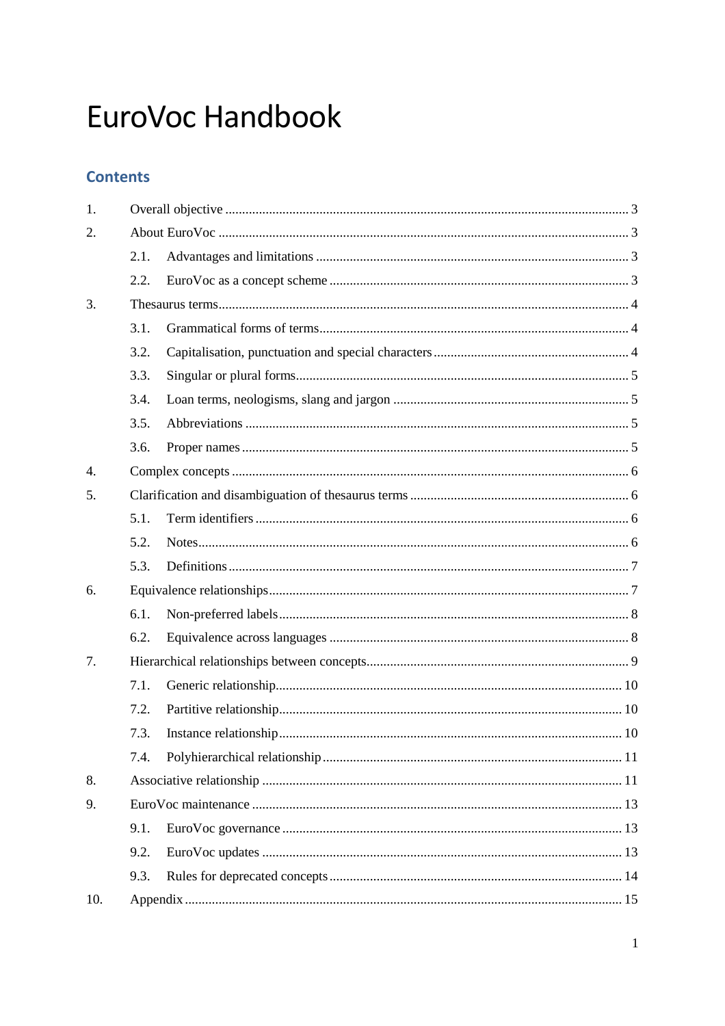# EuroVoc Handbook

## **Contents**

| 1.               |      |  |  |  |
|------------------|------|--|--|--|
| 2.               |      |  |  |  |
|                  | 2.1. |  |  |  |
|                  | 2.2. |  |  |  |
| 3.               |      |  |  |  |
|                  | 3.1. |  |  |  |
|                  | 3.2. |  |  |  |
|                  | 3.3. |  |  |  |
|                  | 3.4. |  |  |  |
|                  | 3.5. |  |  |  |
|                  | 3.6. |  |  |  |
| $\overline{4}$ . |      |  |  |  |
| 5.               |      |  |  |  |
|                  | 5.1. |  |  |  |
|                  | 5.2. |  |  |  |
|                  | 5.3. |  |  |  |
| 6.               |      |  |  |  |
|                  | 6.1. |  |  |  |
|                  | 6.2. |  |  |  |
| 7.               |      |  |  |  |
|                  | 7.1. |  |  |  |
|                  | 7.2. |  |  |  |
|                  | 7.3. |  |  |  |
|                  | 7.4. |  |  |  |
| 8.               |      |  |  |  |
| 9.               |      |  |  |  |
|                  | 9.1. |  |  |  |
|                  | 9.2. |  |  |  |
|                  | 9.3. |  |  |  |
| 10.              |      |  |  |  |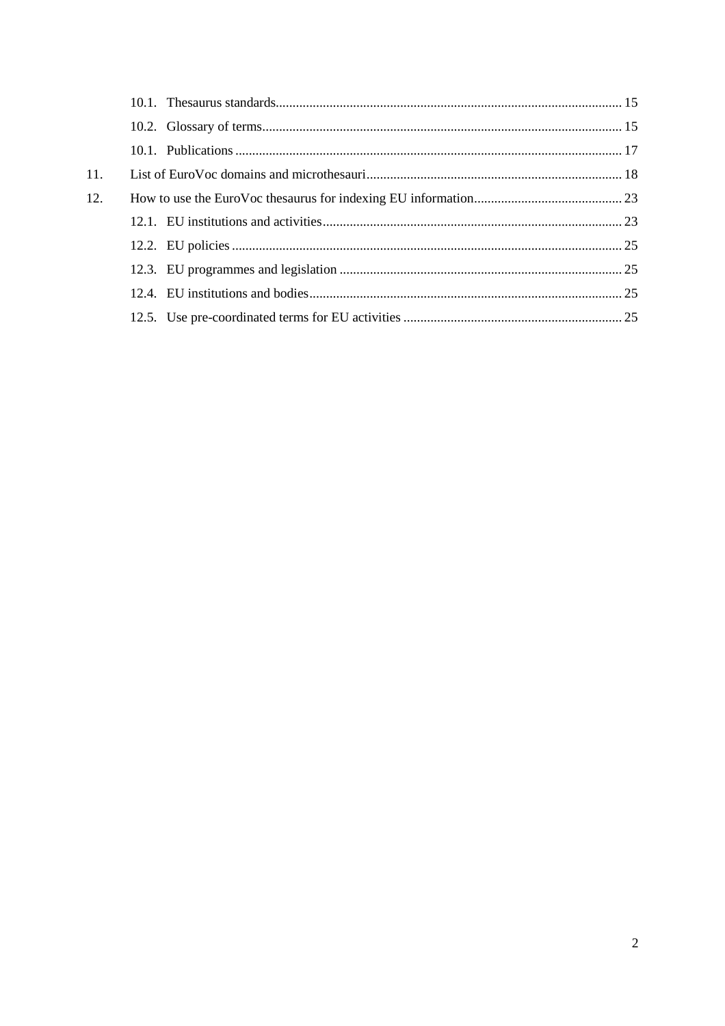| 11. |  |
|-----|--|
| 12. |  |
|     |  |
|     |  |
|     |  |
|     |  |
|     |  |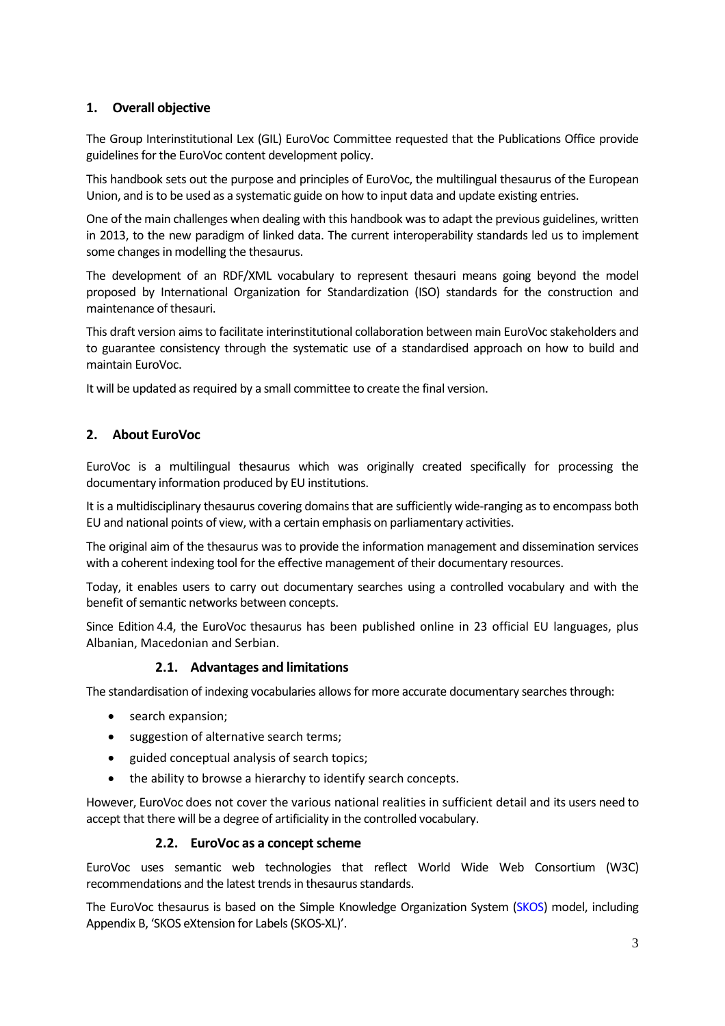## <span id="page-2-0"></span>**1. Overall objective**

The Group Interinstitutional Lex (GIL) EuroVoc Committee requested that the Publications Office provide guidelines for the EuroVoc content development policy.

This handbook sets out the purpose and principles of EuroVoc, the multilingual thesaurus of the European Union, and isto be used as a systematic guide on how to input data and update existing entries.

One of the main challenges when dealing with this handbook wasto adapt the previous guidelines, written in 2013, to the new paradigm of linked data. The current interoperability standards led us to implement some changes in modelling the thesaurus.

The development of an RDF/XML vocabulary to represent thesauri means going beyond the model proposed by International Organization for Standardization (ISO) standards for the construction and maintenance of thesauri.

This draft version aimsto facilitate interinstitutional collaboration between main EuroVoc stakeholders and to guarantee consistency through the systematic use of a standardised approach on how to build and maintain EuroVoc.

<span id="page-2-1"></span>It will be updated as required by a small committee to create the final version.

## **2. About EuroVoc**

EuroVoc is a multilingual thesaurus which was originally created specifically for processing the documentary information produced by EU institutions.

It is a multidisciplinary thesaurus covering domains that are sufficiently wide-ranging as to encompass both EU and national points of view, with a certain emphasis on parliamentary activities.

The original aim of the thesaurus was to provide the information management and dissemination services with a coherent indexing tool for the effective management of their documentary resources.

Today, it enables users to carry out documentary searches using a controlled vocabulary and with the benefit of semantic networks between concepts.

Since Edition 4.4, the EuroVoc thesaurus has been published online in 23 official EU languages, plus Albanian, Macedonian and Serbian.

## **2.1. Advantages and limitations**

<span id="page-2-2"></span>The standardisation of indexing vocabularies allows for more accurate documentary searches through:

- search expansion;
- suggestion of alternative search terms;
- guided conceptual analysis of search topics;
- the ability to browse a hierarchy to identify search concepts.

However, EuroVoc does not cover the various national realities in sufficient detail and its users need to accept that there will be a degree of artificiality in the controlled vocabulary.

#### **2.2. EuroVoc** as a concept scheme

<span id="page-2-3"></span>EuroVoc uses semantic web technologies that reflect World Wide Web Consortium (W3C) recommendations and the latest trends in thesaurus standards.

The EuroVoc thesaurus is based on the Simple Knowledge Organization System [\(SKOS\)](https://www.w3.org/TR/skos-primer/#secdocumentation) model, including Appendix B, 'SKOS eXtension for Labels(SKOS-XL)'.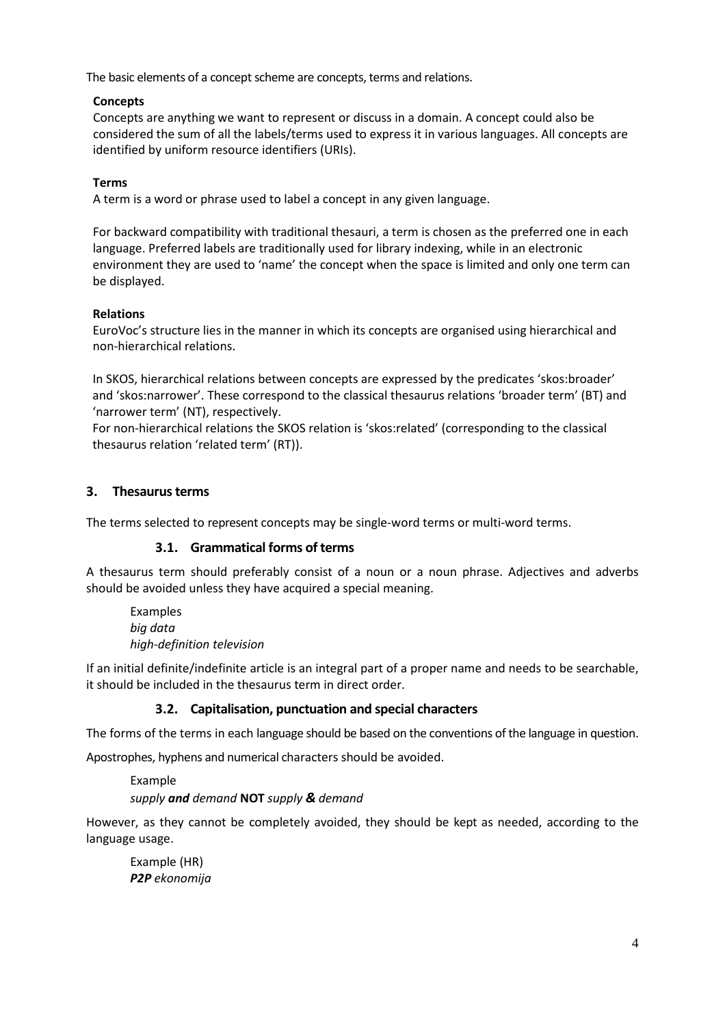The basic elements of a concept scheme are concepts, terms and relations.

## **Concepts**

Concepts are anything we want to represent or discuss in a domain. A concept could also be considered the sum of all the labels/terms used to express it in various languages. All concepts are identified by uniform resource identifiers (URIs).

## **Terms**

A term is a word or phrase used to label a concept in any given language.

For backward compatibility with traditional thesauri, a term is chosen as the preferred one in each language. Preferred labels are traditionally used for library indexing, while in an electronic environment they are used to 'name' the concept when the space is limited and only one term can be displayed.

## **Relations**

EuroVoc's structure lies in the manner in which its concepts are organised using hierarchical and non-hierarchical relations.

In SKOS, hierarchical relations between concepts are expressed by the predicates 'skos:broader' and 'skos:narrower'. These correspond to the classical thesaurus relations 'broader term' (BT) and 'narrower term' (NT), respectively.

For non-hierarchical relations the SKOS relation is 'skos:related' (corresponding to the classical thesaurus relation 'related term' (RT)).

## <span id="page-3-0"></span>**3.** Thesaurus terms

<span id="page-3-1"></span>The terms selected to represent concepts may be single-word terms or multi-word terms.

## **3.1. Grammatical forms of terms**

A thesaurus term should preferably consist of a noun or a noun phrase. Adjectives and adverbs should be avoided unless they have acquired a special meaning.

Examples *big data high-definition television*

If an initial definite/indefinite article is an integral part of a proper name and needs to be searchable, it should be included in the thesaurus term in direct order.

## **3.2. Capitalisation, punctuation and special characters**

<span id="page-3-2"></span>The forms of the terms in each language should be based on the conventions of the language in question.

Apostrophes, hyphens and numerical characters should be avoided.

Example *supply and demand* **NOT** *supply & demand*

However, as they cannot be completely avoided, they should be kept as needed, according to the language usage.

Example (HR) *P2P ekonomija*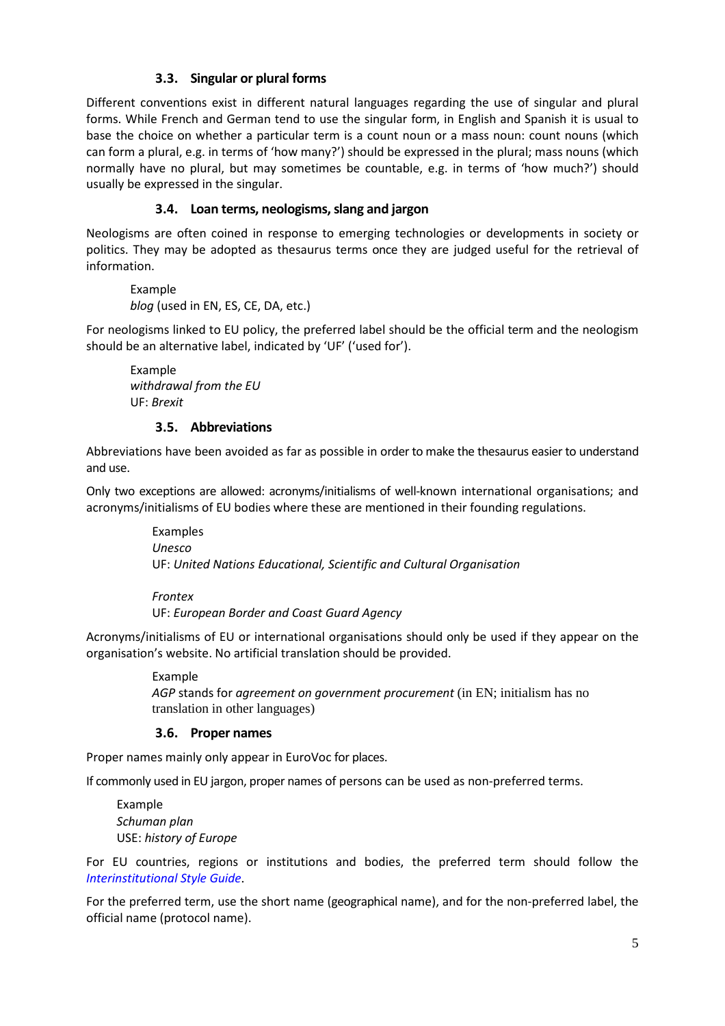## **3.3. Singular or plural forms**

<span id="page-4-0"></span>Different conventions exist in different natural languages regarding the use of singular and plural forms. While French and German tend to use the singular form, in English and Spanish it is usual to base the choice on whether a particular term is a count noun or a mass noun: count nouns (which can form a plural, e.g. in terms of 'how many?') should be expressed in the plural; mass nouns (which normally have no plural, but may sometimes be countable, e.g. in terms of 'how much?') should usually be expressed in the singular.

## **3.4. Loan terms, neologisms,slang and jargon**

<span id="page-4-1"></span>Neologisms are often coined in response to emerging technologies or developments in society or politics. They may be adopted as thesaurus terms once they are judged useful for the retrieval of information.

Example *blog* (used in EN, ES, CE, DA, etc.)

For neologisms linked to EU policy, the preferred label should be the official term and the neologism should be an alternative label, indicated by 'UF' ('used for').

Example *withdrawal from the EU* UF: *Brexit*

## **3.5. Abbreviations**

<span id="page-4-2"></span>Abbreviations have been avoided as far as possible in order to make the thesaurus easier to understand and use.

Only two exceptions are allowed: acronyms/initialisms of well-known international organisations; and acronyms/initialisms of EU bodies where these are mentioned in their founding regulations.

> Examples *Unesco* UF: *United Nations Educational, Scientific and Cultural Organisation*

*Frontex*

UF: *European Border and Coast Guard Agency*

Acronyms/initialisms of EU or international organisations should only be used if they appear on the organisation's website. No artificial translation should be provided.

> Example *AGP* stands for *agreement on government procurement* (in EN; initialism has no translation in other languages)

## **3.6. Proper names**

<span id="page-4-3"></span>Proper names mainly only appear in EuroVoc for places.

If commonly used in EU jargon, proper names of persons can be used as non-preferred terms.

Example *Schuman plan* USE: *history of Europe*

For EU countries, regions or institutions and bodies, the preferred term should follow the *[Interinstitutional Style Guide](http://publications.europa.eu/code/en/en-000100.htm)*.

For the preferred term, use the short name (geographical name), and for the non-preferred label, the official name (protocol name).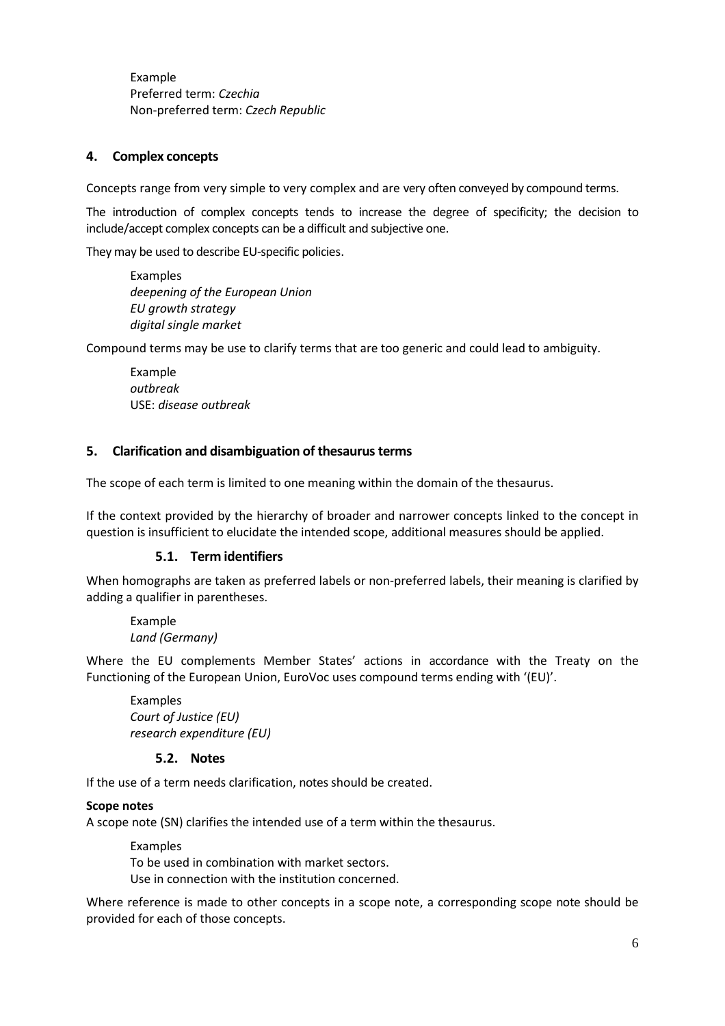Example Preferred term: *Czechia* Non-preferred term: *Czech Republic*

## <span id="page-5-0"></span>**4. Complex concepts**

Concepts range from very simple to very complex and are very often conveyed by compound terms.

The introduction of complex concepts tends to increase the degree of specificity; the decision to include/accept complex concepts can be a difficult and subjective one.

They may be used to describe EU-specific policies.

Examples *deepening of the European Union EU growth strategy digital single market*

Compound terms may be use to clarify terms that are too generic and could lead to ambiguity.

Example *outbreak* USE: *disease outbreak*

#### <span id="page-5-1"></span>**5. Clarification and disambiguation of thesaurusterms**

The scope of each term is limited to one meaning within the domain of the thesaurus.

If the context provided by the hierarchy of broader and narrower concepts linked to the concept in question is insufficient to elucidate the intended scope, additional measures should be applied.

#### **5.1. Term identifiers**

<span id="page-5-2"></span>When homographs are taken as preferred labels or non-preferred labels, their meaning is clarified by adding a qualifier in parentheses.

Example *Land (Germany)*

Where the EU complements Member States' actions in accordance with the Treaty on the Functioning of the European Union, EuroVoc uses compound terms ending with '(EU)'.

Examples *Court of Justice (EU) research expenditure (EU)*

#### **5.2. Notes**

<span id="page-5-3"></span>If the use of a term needs clarification, notes should be created.

#### **Scope notes**

A scope note (SN) clarifies the intended use of a term within the thesaurus.

Examples

To be used in combination with market sectors.

Use in connection with the institution concerned.

Where reference is made to other concepts in a scope note, a corresponding scope note should be provided for each of those concepts.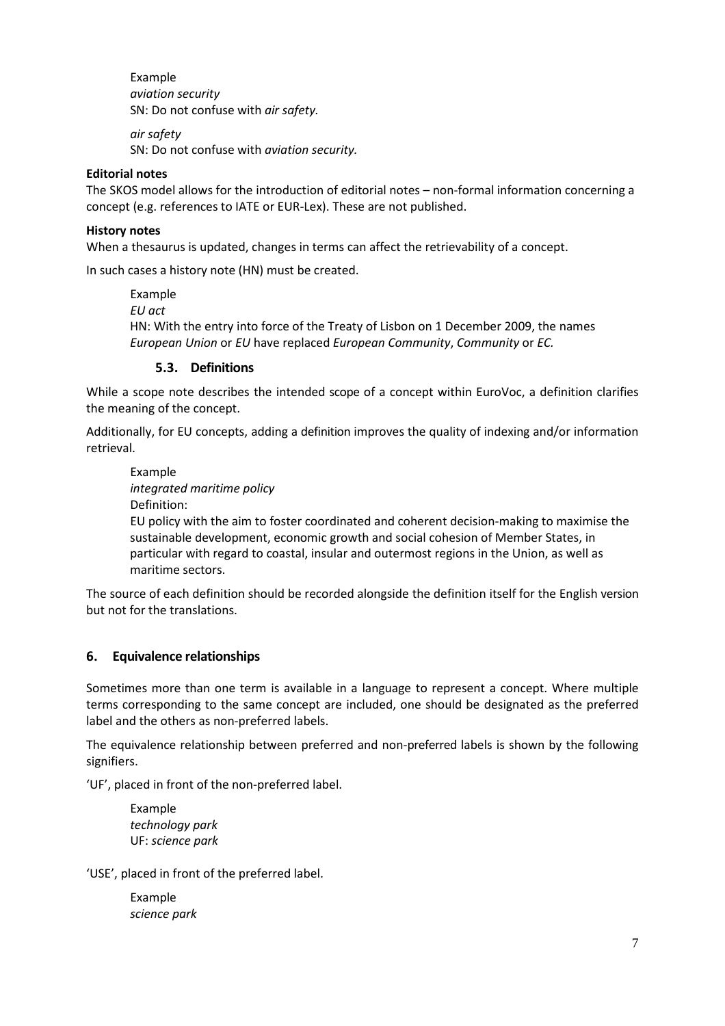Example *aviation security* SN: Do not confuse with *air safety.*

*air safety* SN: Do not confuse with *aviation security.*

## **Editorial notes**

The SKOS model allows for the introduction of editorial notes – non-formal information concerning a concept (e.g. references to IATE or EUR-Lex). These are not published.

#### **History notes**

When a thesaurus is updated, changes in terms can affect the retrievability of a concept.

In such cases a history note (HN) must be created.

Example *EU act* HN: With the entry into force of the Treaty of Lisbon on 1 December 2009, the names *European Union* or *EU* have replaced *European Community*, *Community* or *EC.*

## **5.3. Definitions**

<span id="page-6-0"></span>While a scope note describes the intended scope of a concept within EuroVoc, a definition clarifies the meaning of the concept.

Additionally, for EU concepts, adding a definition improves the quality of indexing and/or information retrieval.

Example *integrated maritime policy* Definition:

EU policy with the aim to foster coordinated and coherent decision-making to maximise the sustainable development, economic growth and social cohesion of Member States, in particular with regard to coastal, insular and outermost regions in the Union, as well as maritime sectors.

The source of each definition should be recorded alongside the definition itself for the English version but not for the translations.

## <span id="page-6-1"></span>**6. Equivalence relationships**

Sometimes more than one term is available in a language to represent a concept. Where multiple terms corresponding to the same concept are included, one should be designated as the preferred label and the others as non-preferred labels.

The equivalence relationship between preferred and non-preferred labels is shown by the following signifiers.

'UF', placed in front of the non-preferred label.

Example *technology park* UF: *science park*

'USE', placed in front of the preferred label.

Example *science park*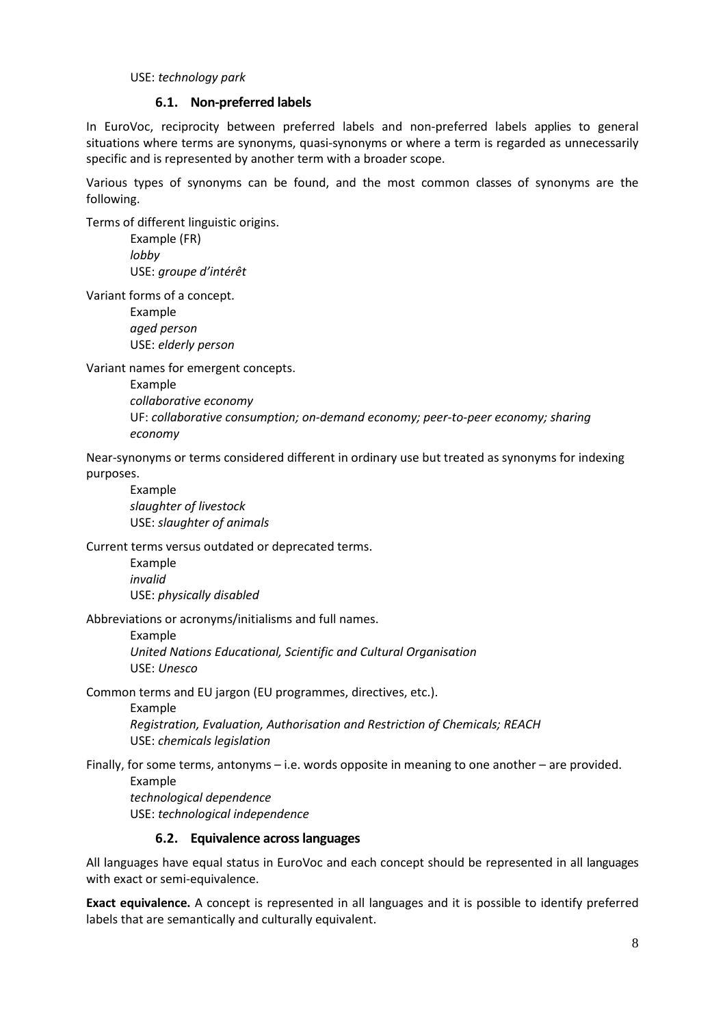#### USE: *technology park*

#### **6.1. Non-preferred labels**

<span id="page-7-0"></span>In EuroVoc, reciprocity between preferred labels and non-preferred labels applies to general situations where terms are synonyms, quasi-synonyms or where a term is regarded as unnecessarily specific and is represented by another term with a broader scope.

Various types of synonyms can be found, and the most common classes of synonyms are the following.

Terms of different linguistic origins.

Example (FR) *lobby* USE: *groupe d'intérêt*

Variant forms of a concept.

Example *aged person* USE: *elderly person*

Variant names for emergent concepts.

Example *collaborative economy* UF: *collaborative consumption; on-demand economy; peer-to-peer economy; sharing economy*

Near-synonyms or terms considered different in ordinary use but treated as synonyms for indexing purposes.

Example *slaughter of livestock* USE: *slaughter of animals*

Current terms versus outdated or deprecated terms.

Example *invalid* USE: *physically disabled*

Abbreviations or acronyms/initialisms and full names.

Example *United Nations Educational, Scientific and Cultural Organisation* USE: *Unesco*

Common terms and EU jargon (EU programmes, directives, etc.).

Example *Registration, Evaluation, Authorisation and Restriction of Chemicals; REACH* USE: *chemicals legislation*

Finally, for some terms, antonyms – i.e. words opposite in meaning to one another – are provided. Example *technological dependence*

USE: *technological independence*

#### **6.2. Equivalence acrosslanguages**

<span id="page-7-1"></span>All languages have equal status in EuroVoc and each concept should be represented in all languages with exact or semi-equivalence.

**Exact equivalence.** A concept is represented in all languages and it is possible to identify preferred labels that are semantically and culturally equivalent.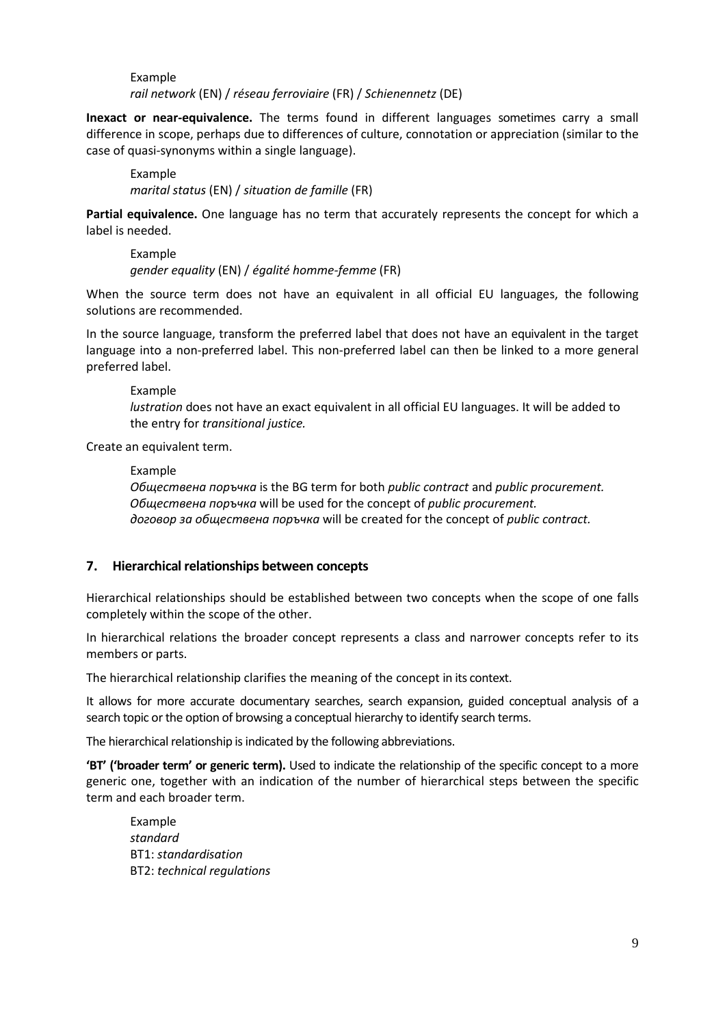Example *rail network* (EN) / *réseau ferroviaire* (FR) / *Schienennetz* (DE)

**Inexact or near-equivalence.** The terms found in different languages sometimes carry a small difference in scope, perhaps due to differences of culture, connotation or appreciation (similar to the case of quasi-synonyms within a single language).

Example *marital status* (EN) / *situation de famille* (FR)

**Partial equivalence.** One language has no term that accurately represents the concept for which a label is needed.

Example *gender equality* (EN) / *égalité homme-femme* (FR)

When the source term does not have an equivalent in all official EU languages, the following solutions are recommended.

In the source language, transform the preferred label that does not have an equivalent in the target language into a non-preferred label. This non-preferred label can then be linked to a more general preferred label.

## Example

*lustration* does not have an exact equivalent in all official EU languages. It will be added to the entry for *transitional justice.*

Create an equivalent term.

#### Example

*Обществена поръчка* is the BG term for both *public contract* and *public procurement. Обществена поръчка* will be used for the concept of *public procurement. договор за обществена поръчка* will be created for the concept of *public contract.*

## <span id="page-8-0"></span>**7. Hierarchical relationships between concepts**

Hierarchical relationships should be established between two concepts when the scope of one falls completely within the scope of the other.

In hierarchical relations the broader concept represents a class and narrower concepts refer to its members or parts.

The hierarchical relationship clarifies the meaning of the concept in its context.

It allows for more accurate documentary searches, search expansion, guided conceptual analysis of a search topic or the option of browsing a conceptual hierarchy to identify search terms.

The hierarchical relationship is indicated by the following abbreviations.

**'BT' ('broader term' or generic term).** Used to indicate the relationship of the specific concept to a more generic one, together with an indication of the number of hierarchical steps between the specific term and each broader term.

Example *standard* BT1: *standardisation* BT2: *technical regulations*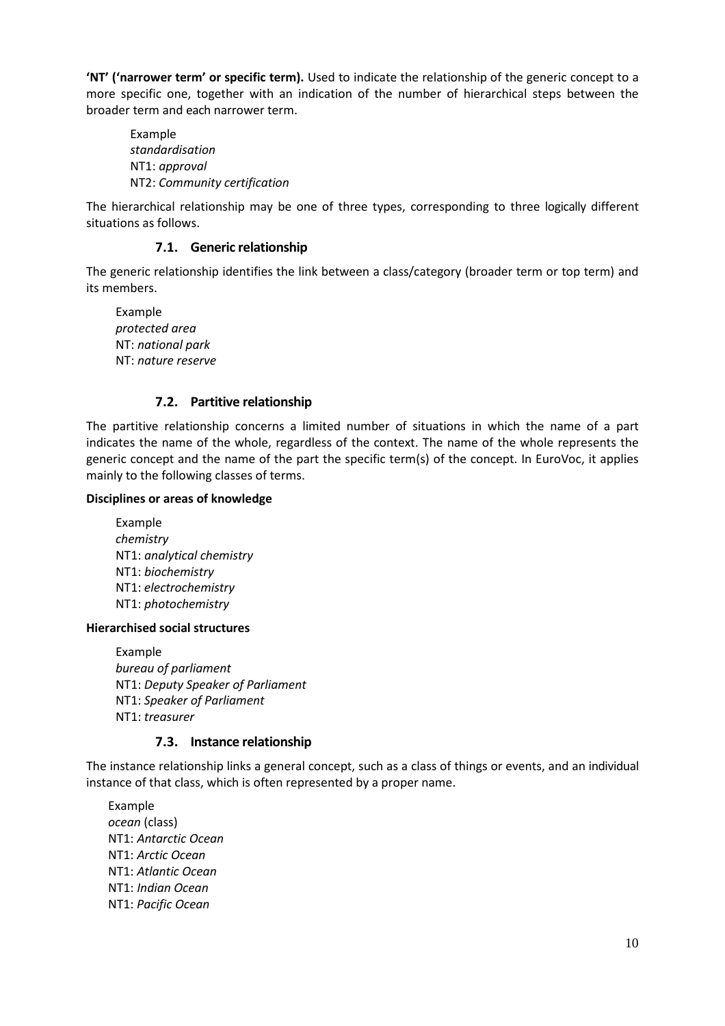**'NT' ('narrower term' or specific term).** Used to indicate the relationship of the generic concept to a more specific one, together with an indication of the number of hierarchical steps between the broader term and each narrower term.

Example *standardisation* NT1: *approval* NT2: *Community certification*

The hierarchical relationship may be one of three types, corresponding to three logically different situations as follows.

## **7.1. Generic relationship**

<span id="page-9-0"></span>The generic relationship identifies the link between a class/category (broader term or top term) and its members.

Example *protected area* NT: *national park* NT: *nature reserve*

#### **7.2. Partitive relationship**

<span id="page-9-1"></span>The partitive relationship concerns a limited number of situations in which the name of a part indicates the name of the whole, regardless of the context. The name of the whole represents the generic concept and the name of the part the specific term(s) of the concept. In EuroVoc, it applies mainly to the following classes of terms.

#### **Disciplines or areas of knowledge**

Example *chemistry* NT1: *analytical chemistry* NT1: *biochemistry* NT1: *electrochemistry* NT1: *photochemistry*

#### **Hierarchised social structures**

Example *bureau of parliament* NT1: *Deputy Speaker of Parliament* NT1: *Speaker of Parliament* NT1: *treasurer*

#### **7.3. Instance relationship**

<span id="page-9-2"></span>The instance relationship links a general concept, such as a class of things or events, and an individual instance of that class, which is often represented by a proper name.

Example *ocean* (class) NT1: *Antarctic Ocean* NT1: *Arctic Ocean* NT1: *Atlantic Ocean* NT1: *Indian Ocean* NT1: *Pacific Ocean*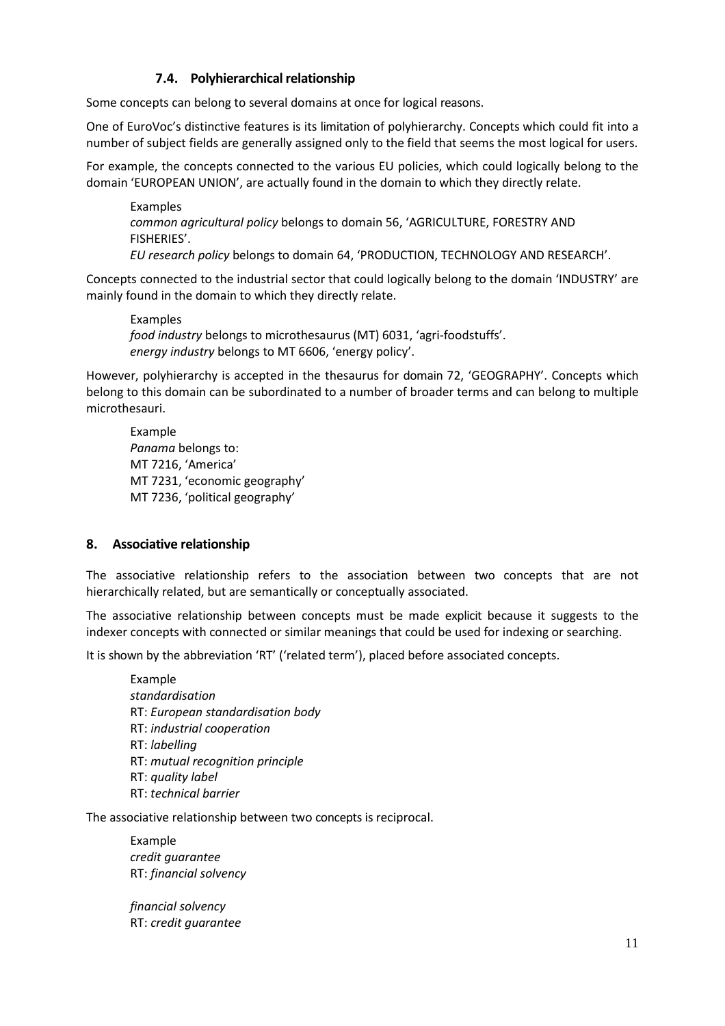## **7.4. Polyhierarchical relationship**

<span id="page-10-0"></span>Some concepts can belong to several domains at once for logical reasons.

One of EuroVoc's distinctive features is its limitation of polyhierarchy. Concepts which could fit into a number of subject fields are generally assigned only to the field that seems the most logical for users.

For example, the concepts connected to the various EU policies, which could logically belong to the domain 'EUROPEAN UNION', are actually found in the domain to which they directly relate.

Examples *common agricultural policy* belongs to domain 56, 'AGRICULTURE, FORESTRY AND FISHERIES'. *EU research policy* belongs to domain 64, 'PRODUCTION, TECHNOLOGY AND RESEARCH'.

Concepts connected to the industrial sector that could logically belong to the domain 'INDUSTRY' are mainly found in the domain to which they directly relate.

Examples *food industry* belongs to microthesaurus (MT) 6031, 'agri-foodstuffs'. *energy industry* belongs to MT 6606, 'energy policy'.

However, polyhierarchy is accepted in the thesaurus for domain 72, 'GEOGRAPHY'. Concepts which belong to this domain can be subordinated to a number of broader terms and can belong to multiple microthesauri.

Example *Panama* belongs to: MT 7216, 'America' MT 7231, 'economic geography' MT 7236, 'political geography'

## <span id="page-10-1"></span>**8. Associative relationship**

The associative relationship refers to the association between two concepts that are not hierarchically related, but are semantically or conceptually associated.

The associative relationship between concepts must be made explicit because it suggests to the indexer concepts with connected or similar meanings that could be used for indexing or searching.

It is shown by the abbreviation 'RT' ('related term'), placed before associated concepts.

Example *standardisation* RT: *European standardisation body* RT: *industrial cooperation* RT: *labelling* RT: *mutual recognition principle* RT: *quality label* RT: *technical barrier*

The associative relationship between two concepts is reciprocal.

Example *credit guarantee* RT: *financial solvency*

*financial solvency* RT: *credit guarantee*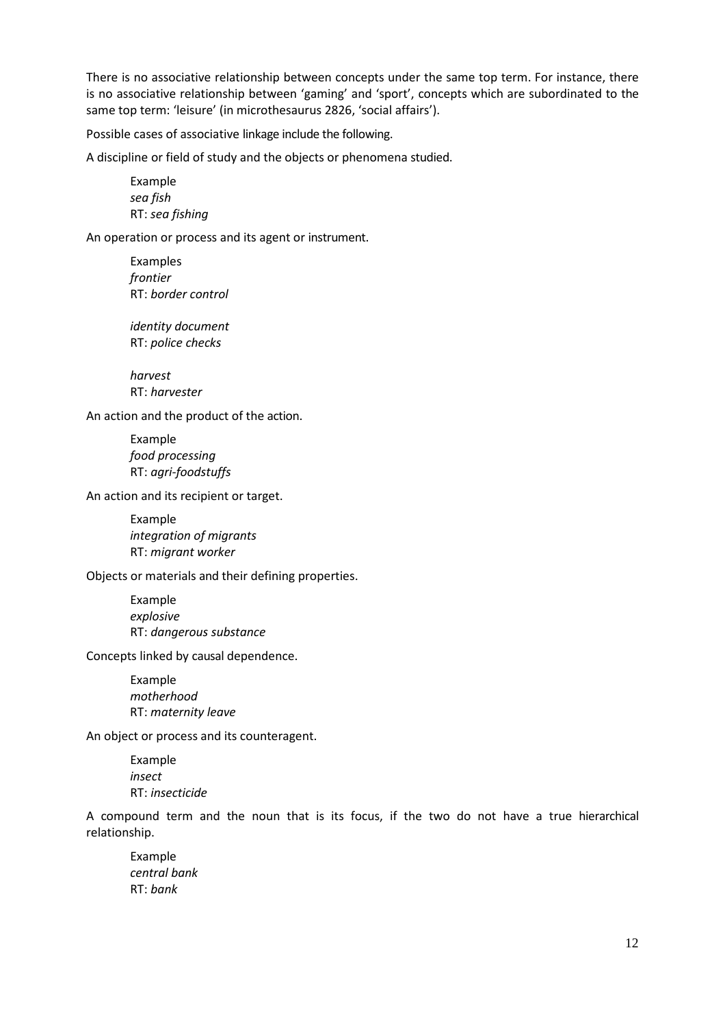There is no associative relationship between concepts under the same top term. For instance, there is no associative relationship between 'gaming' and 'sport', concepts which are subordinated to the same top term: 'leisure' (in microthesaurus 2826, 'social affairs').

Possible cases of associative linkage include the following.

A discipline or field of study and the objects or phenomena studied.

Example *sea fish* RT: *sea fishing*

An operation or process and its agent or instrument.

Examples *frontier* RT: *border control*

*identity document* RT: *police checks*

*harvest* RT: *harvester*

An action and the product of the action.

Example *food processing* RT: *agri-foodstuffs*

An action and its recipient or target.

Example *integration of migrants* RT: *migrant worker*

Objects or materials and their defining properties.

Example *explosive* RT: *dangerous substance*

Concepts linked by causal dependence.

Example *motherhood* RT: *maternity leave*

An object or process and its counteragent.

Example *insect* RT: *insecticide*

A compound term and the noun that is its focus, if the two do not have a true hierarchical relationship.

Example *central bank* RT: *bank*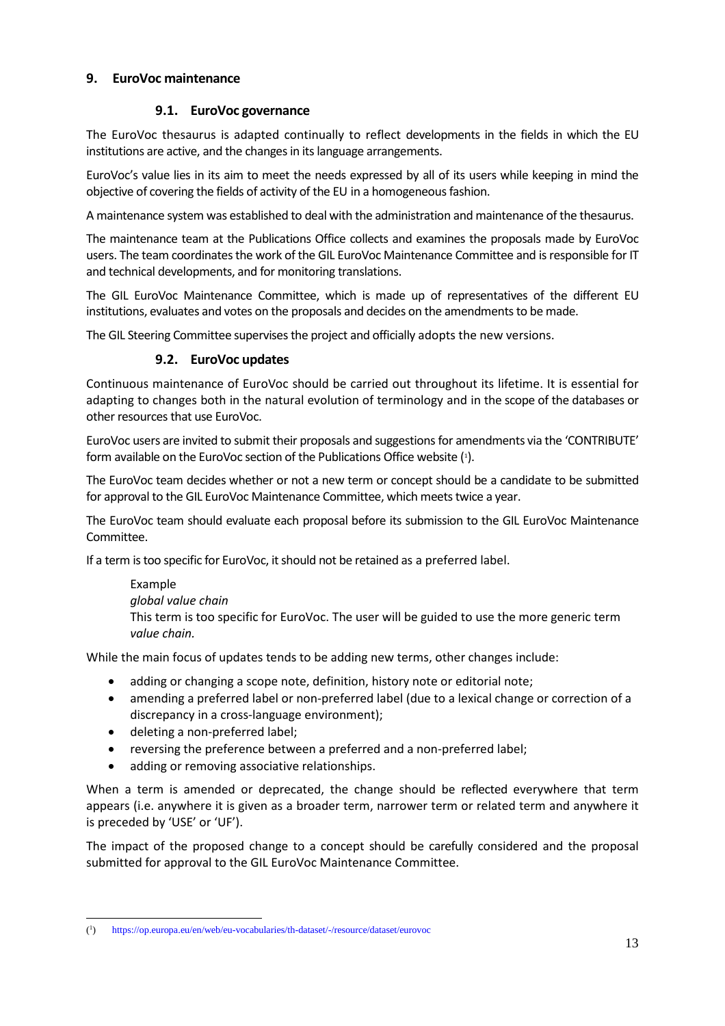## <span id="page-12-0"></span>**9. EuroVoc maintenance**

## **9.1. EuroVoc governance**

<span id="page-12-1"></span>The EuroVoc thesaurus is adapted continually to reflect developments in the fields in which the EU institutions are active, and the changes in its language arrangements.

EuroVoc's value lies in its aim to meet the needs expressed by all of its users while keeping in mind the objective of covering the fields of activity of the EU in a homogeneousfashion.

A maintenance system was established to deal with the administration and maintenance of the thesaurus.

The maintenance team at the Publications Office collects and examines the proposals made by EuroVoc users. The team coordinates the work of the GIL EuroVoc Maintenance Committee and is responsible for IT and technical developments, and for monitoring translations.

The GIL EuroVoc Maintenance Committee, which is made up of representatives of the different EU institutions, evaluates and votes on the proposals and decides on the amendments to be made.

<span id="page-12-2"></span>The GIL Steering Committee supervisesthe project and officially adopts the new versions.

## **9.2. EuroVoc updates**

Continuous maintenance of EuroVoc should be carried out throughout its lifetime. It is essential for adapting to changes both in the natural evolution of terminology and in the scope of the databases or other resources that use EuroVoc.

EuroVoc users are invited to submit their proposals and suggestionsfor amendments via the 'CONTRIBUTE' form available on the EuroVoc section of the Publications Office website [\(1\)](#page-12-3).

The EuroVoc team decides whether or not a new term or concept should be a candidate to be submitted for approval to the GIL EuroVoc Maintenance Committee, which meets twice a year.

The EuroVoc team should evaluate each proposal before its submission to the GIL EuroVoc Maintenance Committee.

If a term is too specific for EuroVoc, it should not be retained as a preferred label.

Example *global value chain* This term is too specific for EuroVoc. The user will be guided to use the more generic term *value chain.*

While the main focus of updates tends to be adding new terms, other changes include:

- adding or changing a scope note, definition, history note or editorial note;
- amending a preferred label or non-preferred label (due to a lexical change or correction of a discrepancy in a cross-language environment);
- deleting a non-preferred label;
- reversing the preference between a preferred and a non-preferred label;
- adding or removing associative relationships.

When a term is amended or deprecated, the change should be reflected everywhere that term appears (i.e. anywhere it is given as a broader term, narrower term or related term and anywhere it is preceded by 'USE' or 'UF').

The impact of the proposed change to a concept should be carefully considered and the proposal submitted for approval to the GIL EuroVoc Maintenance Committee.

<span id="page-12-3"></span> $\overline{\phantom{a}}$ 1 ) <https://op.europa.eu/en/web/eu-vocabularies/th-dataset/-/resource/dataset/eurovoc>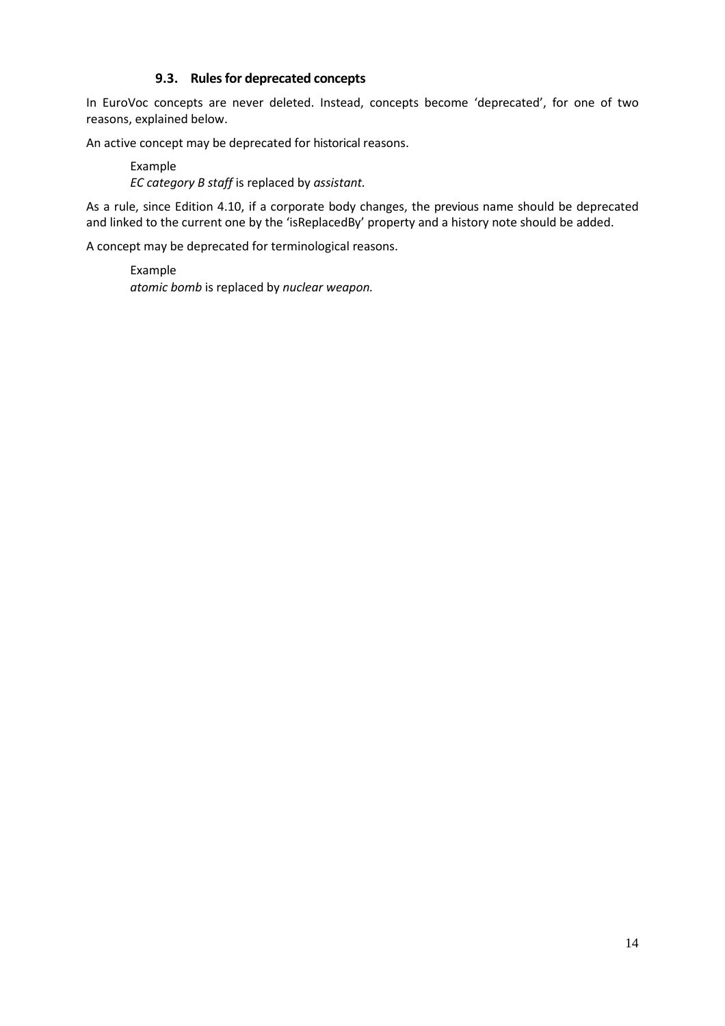## **9.3. Rulesfor deprecated concepts**

<span id="page-13-0"></span>In EuroVoc concepts are never deleted. Instead, concepts become 'deprecated', for one of two reasons, explained below.

An active concept may be deprecated for historical reasons.

Example *EC category B staff* is replaced by *assistant.*

As a rule, since Edition 4.10, if a corporate body changes, the previous name should be deprecated and linked to the current one by the 'isReplacedBy' property and a history note should be added.

A concept may be deprecated for terminological reasons.

Example *atomic bomb* is replaced by *nuclear weapon.*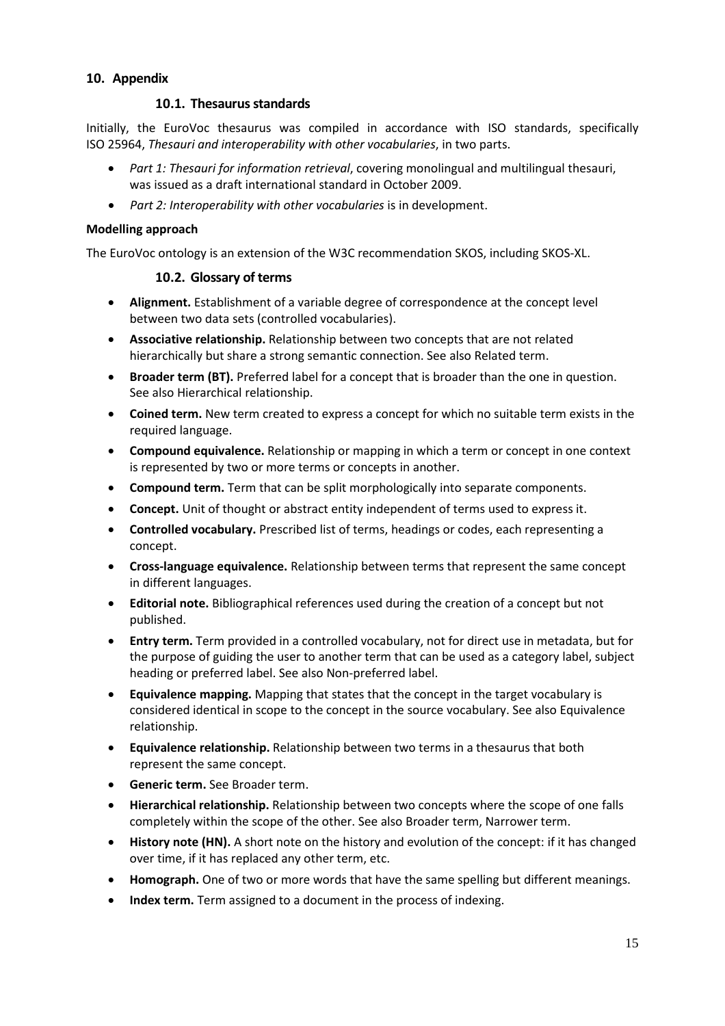## <span id="page-14-1"></span><span id="page-14-0"></span>**10. Appendix**

## **10.1. Thesaurusstandards**

Initially, the EuroVoc thesaurus was compiled in accordance with ISO standards, specifically ISO 25964, *Thesauri and interoperability with other vocabularies*, in two parts.

- *Part 1: Thesauri for information retrieval*, covering monolingual and multilingual thesauri, was issued as a draft international standard in October 2009.
- *Part 2: Interoperability with other vocabularies* is in development.

## **Modelling approach**

<span id="page-14-2"></span>The EuroVoc ontology is an extension of the W3C recommendation [SKOS,](https://www.w3.org/TR/skos-primer/#secdocumentation) including SKOS-XL.

## **10.2. Glossary of terms**

- **Alignment.** Establishment of a variable degree of correspondence at the concept level between two data sets (controlled vocabularies).
- **Associative relationship.** Relationship between two concepts that are not related hierarchically but share a strong semantic connection. See also Related term.
- **Broader term (BT).** Preferred label for a concept that is broader than the one in question. See also Hierarchical relationship.
- **Coined term.** New term created to express a concept for which no suitable term exists in the required language.
- **Compound equivalence.** Relationship or mapping in which a term or concept in one context is represented by two or more terms or concepts in another.
- **Compound term.** Term that can be split morphologically into separate components.
- **Concept.** Unit of thought or abstract entity independent of terms used to express it.
- **Controlled vocabulary.** Prescribed list of terms, headings or codes, each representing a concept.
- **Cross-language equivalence.** Relationship between terms that represent the same concept in different languages.
- **Editorial note.** Bibliographical references used during the creation of a concept but not published.
- **Entry term.** Term provided in a controlled vocabulary, not for direct use in metadata, but for the purpose of guiding the user to another term that can be used as a category label, subject heading or preferred label. See also Non-preferred label.
- **Equivalence mapping.** Mapping that states that the concept in the target vocabulary is considered identical in scope to the concept in the source vocabulary. See also Equivalence relationship.
- **Equivalence relationship.** Relationship between two terms in a thesaurus that both represent the same concept.
- **Generic term.** See Broader term.
- **Hierarchical relationship.** Relationship between two concepts where the scope of one falls completely within the scope of the other. See also Broader term, Narrower term.
- **History note (HN).** A short note on the history and evolution of the concept: if it has changed over time, if it has replaced any other term, etc.
- **Homograph.** One of two or more words that have the same spelling but different meanings.
- **Index term.** Term assigned to a document in the process of indexing.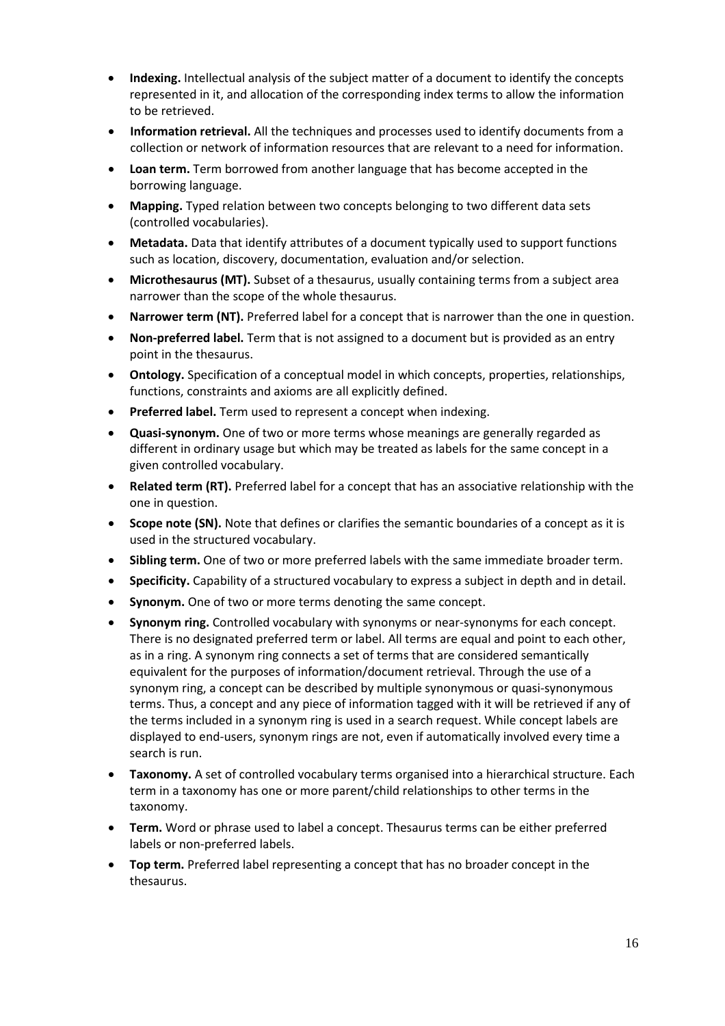- **Indexing.** Intellectual analysis of the subject matter of a document to identify the concepts represented in it, and allocation of the corresponding index terms to allow the information to be retrieved.
- **Information retrieval.** All the techniques and processes used to identify documents from a collection or network of information resources that are relevant to a need for information.
- **Loan term.** Term borrowed from another language that has become accepted in the borrowing language.
- **Mapping.** Typed relation between two concepts belonging to two different data sets (controlled vocabularies).
- **Metadata.** Data that identify attributes of a document typically used to support functions such as location, discovery, documentation, evaluation and/or selection.
- **Microthesaurus (MT).** Subset of a thesaurus, usually containing terms from a subject area narrower than the scope of the whole thesaurus.
- **Narrower term (NT).** Preferred label for a concept that is narrower than the one in question.
- **Non-preferred label.** Term that is not assigned to a document but is provided as an entry point in the thesaurus.
- **Ontology.** Specification of a conceptual model in which concepts, properties, relationships, functions, constraints and axioms are all explicitly defined.
- **Preferred label.** Term used to represent a concept when indexing.
- **Quasi-synonym.** One of two or more terms whose meanings are generally regarded as different in ordinary usage but which may be treated as labels for the same concept in a given controlled vocabulary.
- **Related term (RT).** Preferred label for a concept that has an associative relationship with the one in question.
- **Scope note (SN).** Note that defines or clarifies the semantic boundaries of a concept as it is used in the structured vocabulary.
- **Sibling term.** One of two or more preferred labels with the same immediate broader term.
- **Specificity.** Capability of a structured vocabulary to express a subject in depth and in detail.
- **Synonym.** One of two or more terms denoting the same concept.
- **Synonym ring.** Controlled vocabulary with synonyms or near-synonyms for each concept. There is no designated preferred term or label. All terms are equal and point to each other, as in a ring. A synonym ring connects a set of terms that are considered semantically equivalent for the purposes of information/document retrieval. Through the use of a synonym ring, a concept can be described by multiple synonymous or quasi-synonymous terms. Thus, a concept and any piece of information tagged with it will be retrieved if any of the terms included in a synonym ring is used in a search request. While concept labels are displayed to end-users, synonym rings are not, even if automatically involved every time a search is run.
- **Taxonomy.** A set of controlled vocabulary terms organised into a hierarchical structure. Each term in a taxonomy has one or more parent/child relationships to other terms in the taxonomy.
- **Term.** Word or phrase used to label a concept. Thesaurus terms can be either preferred labels or non-preferred labels.
- **Top term.** Preferred label representing a concept that has no broader concept in the thesaurus.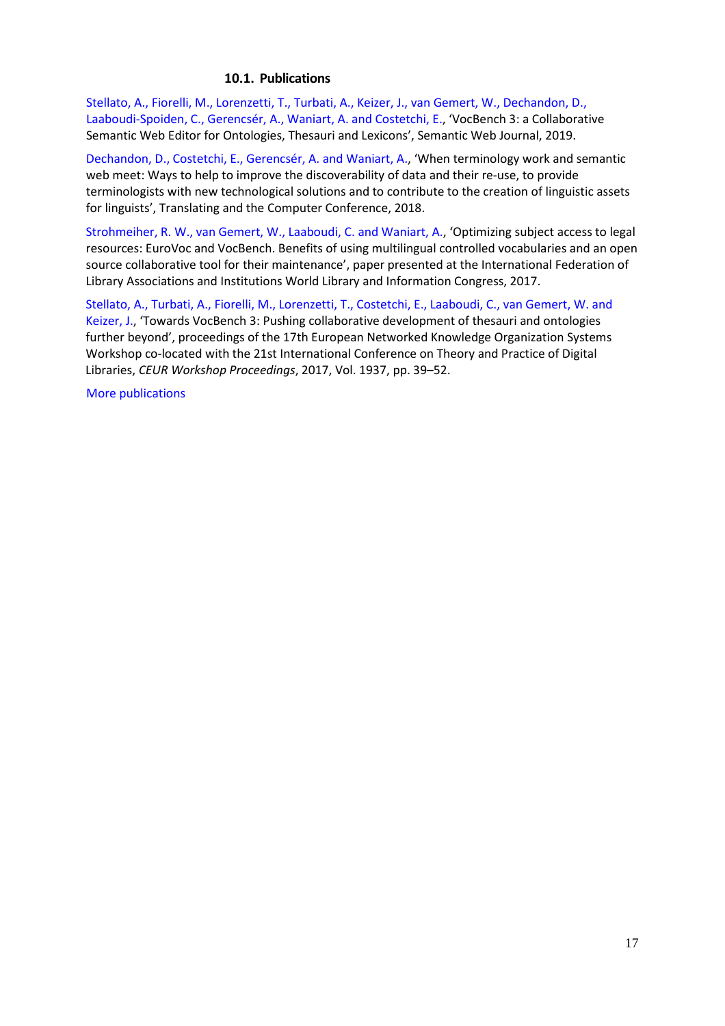### **10.1. Publications**

<span id="page-16-0"></span>Stellato, A., Fiorelli, M., Lorenzetti, T., Turbati, A., Keizer, J., van Gemert, W., [Dechandon,](http://www.semantic-web-journal.net/content/vocbench-3-collaborative-semantic-web-editor-ontologies-thesauri-and-lexicons-1) D., [Laaboudi-Spoiden,](http://www.semantic-web-journal.net/content/vocbench-3-collaborative-semantic-web-editor-ontologies-thesauri-and-lexicons-1) C., Gerencsér, A., Waniart, A. and Costetchi, E., 'VocBench 3: a Collaborative Semantic Web Editor for Ontologies, Thesauri and Lexicons', Semantic Web Journal, 2019.

[Dechandon,](https://www.asling.org/tc40/?page_id=1354) D., Costetchi, E., Gerencsér, A. and Waniart, A., 'When terminology work and semantic web meet: Ways to help to improve the discoverability of data and their re-use, to provide terminologists with new technological solutions and to contribute to the creation of linguistic assets for linguists', Translating and the Computer Conference, 2018.

[Strohmeiher,](http://library.ifla.org/1686/) R. W., van Gemert, W., Laaboudi, C. and Waniart, A., 'Optimizing subject access to legal resources: EuroVoc and VocBench. Benefits of using multilingual controlled vocabularies and an open source collaborative tool for their maintenance', paper presented at the International Federation of Library Associations and Institutions World Library and Information Congress, 2017.

Stellato, A., Turbati, A., Fiorelli, M., [Lorenzetti,](http://ceur-ws.org/Vol-1937/paper4.pdf) T., Costetchi, E., Laaboudi, C., van Gemert, W. and [Keizer,](http://ceur-ws.org/Vol-1937/paper4.pdf) J., 'Towards VocBench 3: Pushing collaborative development of thesauri and ontologies further beyond', proceedings of the 17th European Networked Knowledge Organization Systems Workshop co-located with the 21st International Conference on Theory and Practice of Digital Libraries, *CEUR Workshop Proceedings*, 2017, Vol. 1937, pp. 39–52.

More [publications](https://scholar.google.com/scholar?hl=fr&as_sdt=0%2C5&q=eurovoc&btnG=)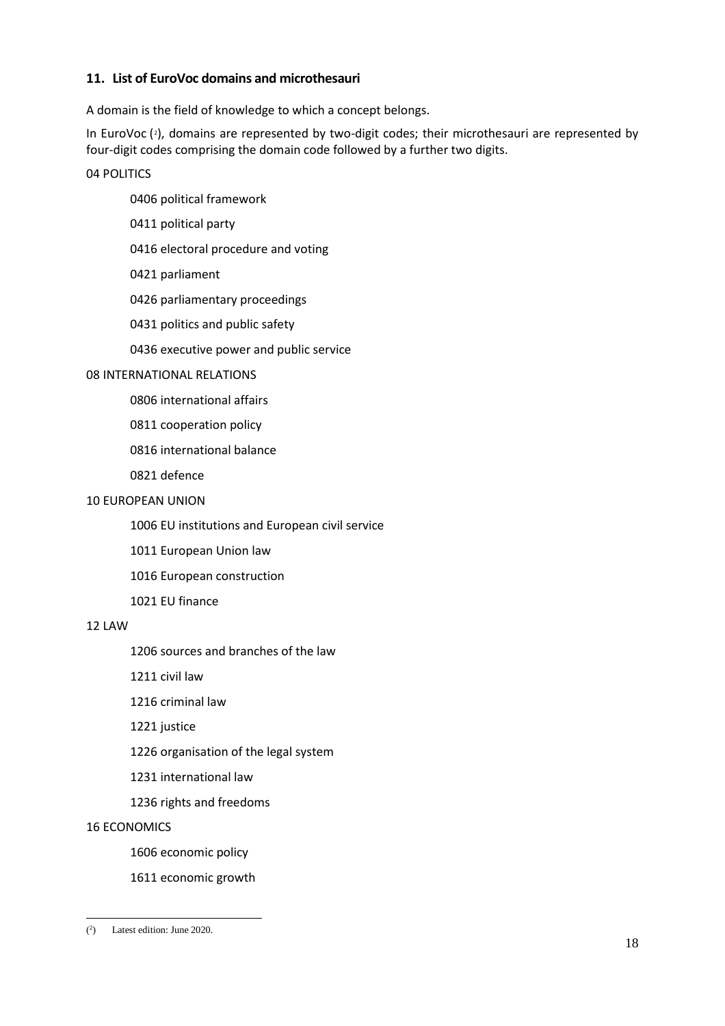## <span id="page-17-0"></span>**11. List of EuroVoc domains and microthesauri**

A domain is the field of knowledge to which a concept belongs.

In EuroVoc  $(2)$  $(2)$  $(2)$ , domains are represented by two-digit codes; their microthesauri are represented by four-digit codes comprising the domain code followed by a further two digits.

04 POLITICS

- 0406 political framework
- 0411 political party
- 0416 electoral procedure and voting
- 0421 parliament
- 0426 parliamentary proceedings
- 0431 politics and public safety
- 0436 executive power and public service

## 08 INTERNATIONAL RELATIONS

- 0806 international affairs
- 0811 cooperation policy
- 0816 international balance
- 0821 defence

## 10 EUROPEAN UNION

- 1006 EU institutions and European civil service
- 1011 European Union law
- 1016 European construction
- 1021 EU finance

#### 12 LAW

- 1206 sources and branches of the law
- 1211 civil law
- 1216 criminal law
- 1221 justice
- 1226 organisation of the legal system
- 1231 international law
- 1236 rights and freedoms

#### 16 ECONOMICS

- 1606 economic policy
- 1611 economic growth

<span id="page-17-1"></span> $\overline{a}$ 2 ) Latest edition: June 2020.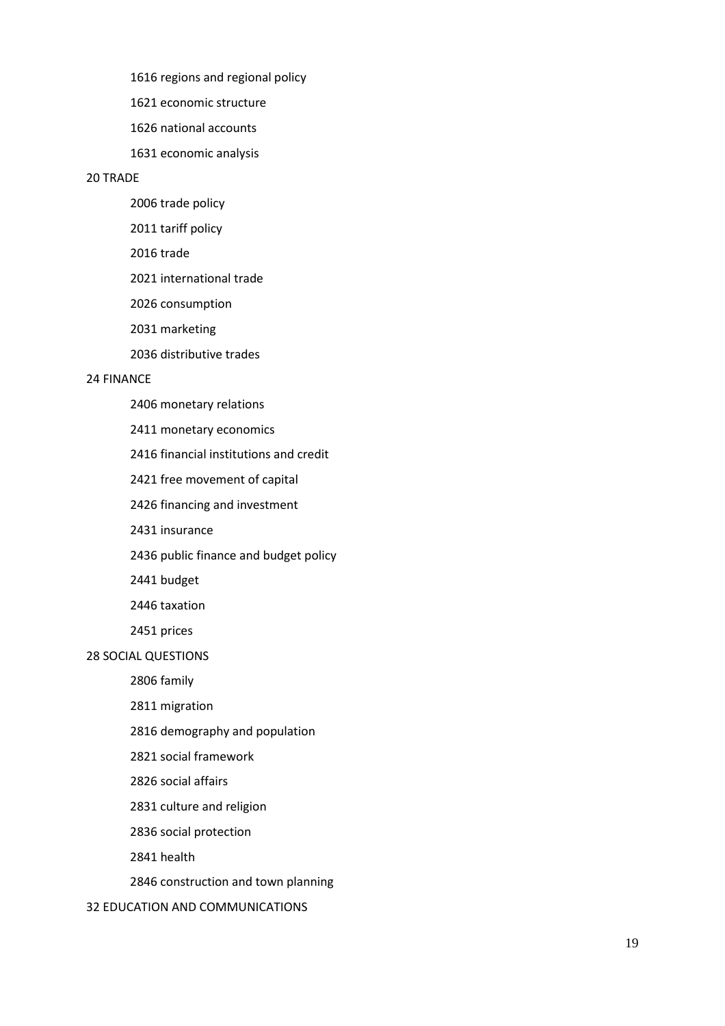1616 regions and regional policy

1621 economic structure

1626 national accounts

1631 economic analysis

#### 20 TRADE

- 2006 trade policy
- 2011 tariff policy
- 2016 trade
- 2021 international trade
- 2026 consumption
- 2031 marketing
- 2036 distributive trades

#### 24 FINANCE

- 2406 monetary relations
- 2411 monetary economics
- 2416 financial institutions and credit
- 2421 free movement of capital
- 2426 financing and investment
- 2431 insurance
- 2436 public finance and budget policy
- 2441 budget
- 2446 taxation
- 2451 prices

#### 28 SOCIAL QUESTIONS

2806 family

- 2811 migration
- 2816 demography and population
- 2821 social framework
- 2826 social affairs
- 2831 culture and religion
- 2836 social protection
- 2841 health
- 2846 construction and town planning

#### 32 EDUCATION AND COMMUNICATIONS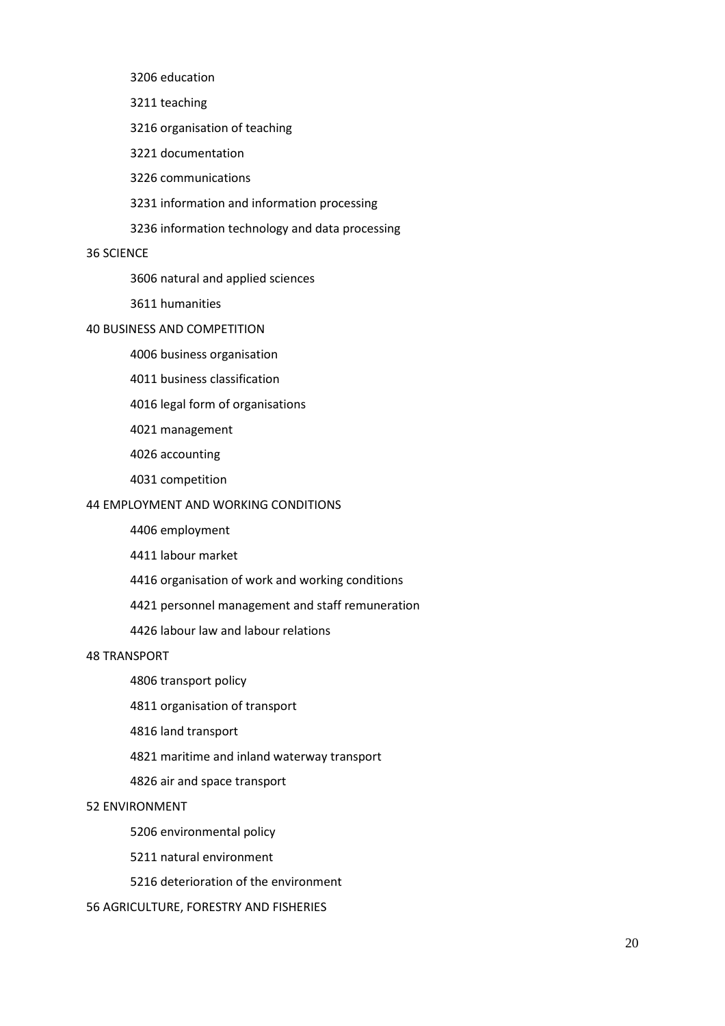3206 education

3211 teaching

3216 organisation of teaching

3221 documentation

3226 communications

3231 information and information processing

3236 information technology and data processing

#### 36 SCIENCE

3606 natural and applied sciences

3611 humanities

#### 40 BUSINESS AND COMPETITION

4006 business organisation

4011 business classification

4016 legal form of organisations

4021 management

4026 accounting

4031 competition

## 44 EMPLOYMENT AND WORKING CONDITIONS

4406 employment

4411 labour market

4416 organisation of work and working conditions

4421 personnel management and staff remuneration

4426 labour law and labour relations

#### 48 TRANSPORT

4806 transport policy

4811 organisation of transport

4816 land transport

4821 maritime and inland waterway transport

4826 air and space transport

#### 52 ENVIRONMENT

5206 environmental policy

5211 natural environment

5216 deterioration of the environment

56 AGRICULTURE, FORESTRY AND FISHERIES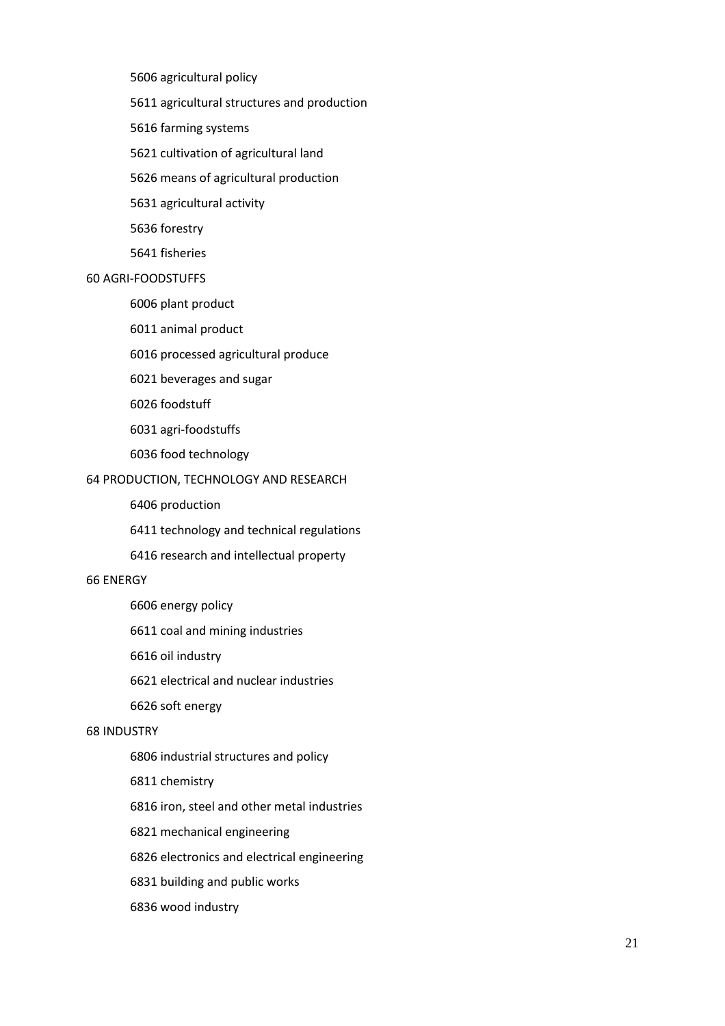5606 agricultural policy

5611 agricultural structures and production

5616 farming systems

5621 cultivation of agricultural land

5626 means of agricultural production

5631 agricultural activity

5636 forestry

5641 fisheries

#### 60 AGRI-FOODSTUFFS

6006 plant product

6011 animal product

6016 processed agricultural produce

6021 beverages and sugar

6026 foodstuff

6031 agri-foodstuffs

6036 food technology

#### 64 PRODUCTION, TECHNOLOGY AND RESEARCH

6406 production

6411 technology and technical regulations

6416 research and intellectual property

#### 66 ENERGY

6606 energy policy

6611 coal and mining industries

6616 oil industry

6621 electrical and nuclear industries

6626 soft energy

#### 68 INDUSTRY

6806 industrial structures and policy

6811 chemistry

6816 iron, steel and other metal industries

6821 mechanical engineering

6826 electronics and electrical engineering

6831 building and public works

6836 wood industry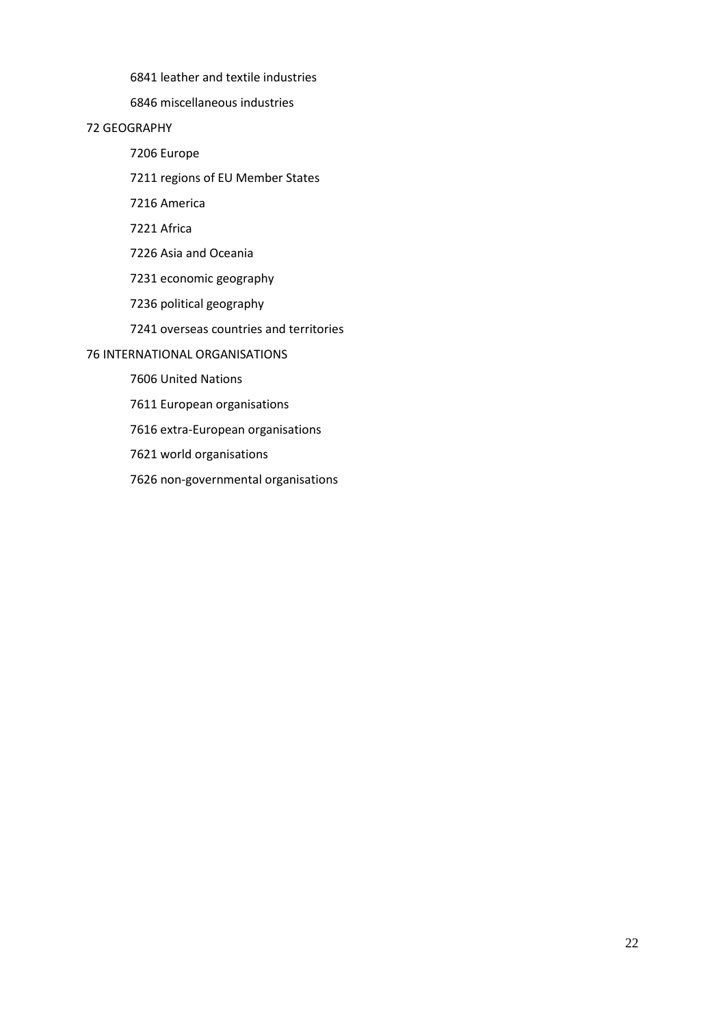6841 leather and textile industries

6846 miscellaneous industries

## 72 GEOGRAPHY

7206 Europe

7211 regions of EU Member States

7216 America

7221 Africa

7226 Asia and Oceania

7231 economic geography

7236 political geography

7241 overseas countries and territories

76 INTERNATIONAL ORGANISATIONS

7606 United Nations

7611 European organisations

7616 extra-European organisations

7621 world organisations

7626 non-governmental organisations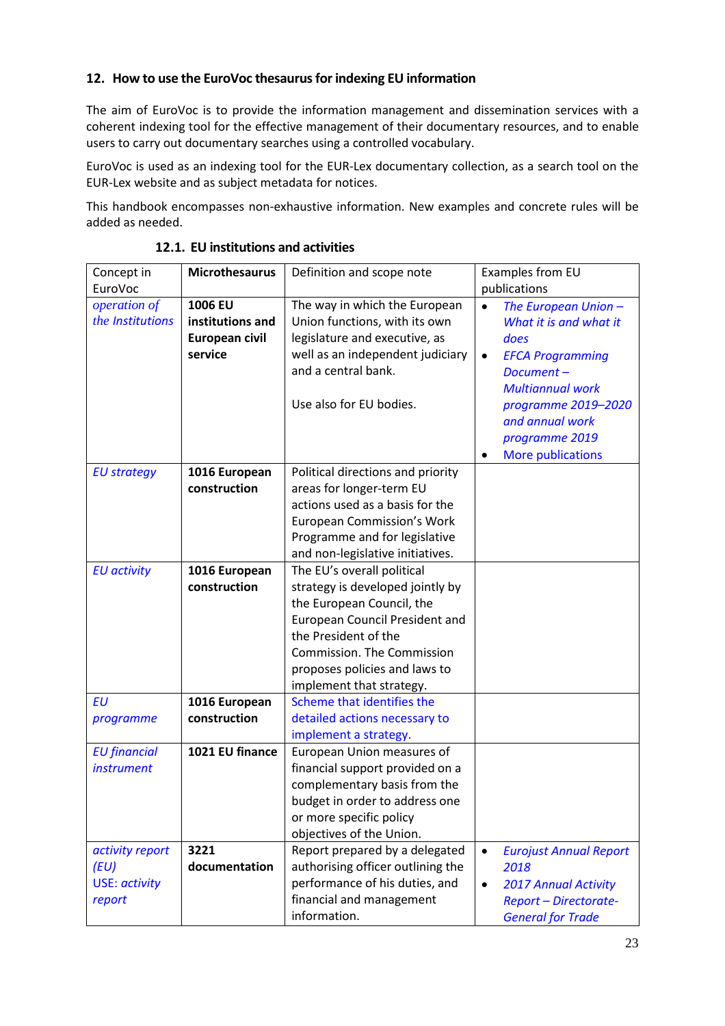## <span id="page-22-0"></span>**12. How to use the EuroVoc thesaurusfor indexing EU information**

The aim of EuroVoc is to provide the information management and dissemination services with a coherent indexing tool for the effective management of their documentary resources, and to enable users to carry out documentary searches using a controlled vocabulary.

EuroVoc is used as an indexing tool for the EUR-Lex documentary collection, as a search tool on the EUR-Lex website and as subject metadata for notices.

This handbook encompasses non-exhaustive information. New examples and concrete rules will be added as needed.

<span id="page-22-1"></span>

| Concept in           | <b>Microthesaurus</b> | Definition and scope note             | Examples from EU                           |  |
|----------------------|-----------------------|---------------------------------------|--------------------------------------------|--|
| <b>EuroVoc</b>       |                       |                                       | publications                               |  |
| operation of         | 1006 EU               | The way in which the European         | The European Union -<br>$\bullet$          |  |
| the Institutions     | institutions and      | Union functions, with its own         | What it is and what it                     |  |
|                      | European civil        | legislature and executive, as         | does                                       |  |
|                      | service               | well as an independent judiciary      | <b>EFCA Programming</b><br>$\bullet$       |  |
|                      |                       | and a central bank.                   | Document-                                  |  |
|                      |                       |                                       | <b>Multiannual work</b>                    |  |
|                      |                       | Use also for EU bodies.               | programme 2019-2020                        |  |
|                      |                       |                                       | and annual work                            |  |
|                      |                       |                                       | programme 2019                             |  |
|                      |                       |                                       | <b>More publications</b><br>$\bullet$      |  |
| <b>EU strategy</b>   | 1016 European         | Political directions and priority     |                                            |  |
|                      | construction          | areas for longer-term EU              |                                            |  |
|                      |                       | actions used as a basis for the       |                                            |  |
|                      |                       | European Commission's Work            |                                            |  |
|                      |                       | Programme and for legislative         |                                            |  |
|                      |                       | and non-legislative initiatives.      |                                            |  |
| <b>EU</b> activity   | 1016 European         | The EU's overall political            |                                            |  |
|                      | construction          | strategy is developed jointly by      |                                            |  |
|                      |                       | the European Council, the             |                                            |  |
|                      |                       | <b>European Council President and</b> |                                            |  |
|                      |                       | the President of the                  |                                            |  |
|                      |                       | Commission. The Commission            |                                            |  |
|                      |                       | proposes policies and laws to         |                                            |  |
|                      |                       | implement that strategy.              |                                            |  |
| <b>EU</b>            | 1016 European         | Scheme that identifies the            |                                            |  |
| programme            | construction          | detailed actions necessary to         |                                            |  |
|                      |                       | implement a strategy.                 |                                            |  |
| <b>EU</b> financial  | 1021 EU finance       | European Union measures of            |                                            |  |
| <i>instrument</i>    |                       | financial support provided on a       |                                            |  |
|                      |                       | complementary basis from the          |                                            |  |
|                      |                       | budget in order to address one        |                                            |  |
|                      |                       | or more specific policy               |                                            |  |
|                      |                       | objectives of the Union.              |                                            |  |
| activity report      | 3221                  | Report prepared by a delegated        | <b>Eurojust Annual Report</b><br>$\bullet$ |  |
| (EU)                 | documentation         | authorising officer outlining the     | 2018                                       |  |
| <b>USE: activity</b> |                       | performance of his duties, and        | <b>2017 Annual Activity</b><br>$\bullet$   |  |
| report               |                       | financial and management              | <b>Report - Directorate-</b>               |  |
|                      |                       | information.                          | <b>General for Trade</b>                   |  |

**12.1. EU institutions and activities**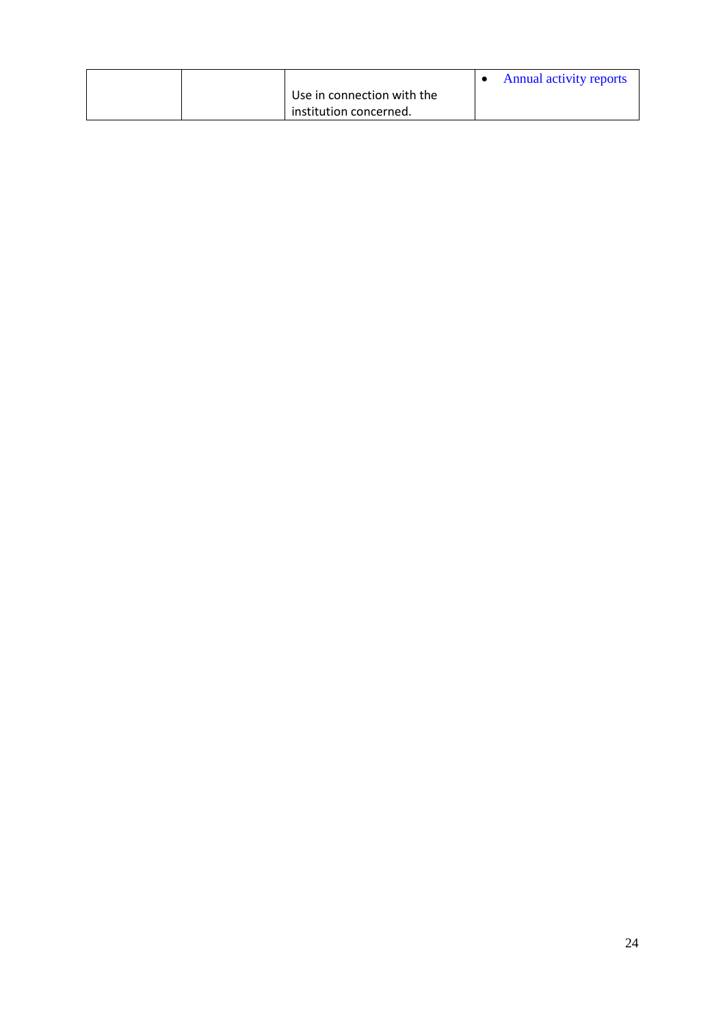|  |                            | <b>Annual activity reports</b> |
|--|----------------------------|--------------------------------|
|  | Use in connection with the |                                |
|  | institution concerned.     |                                |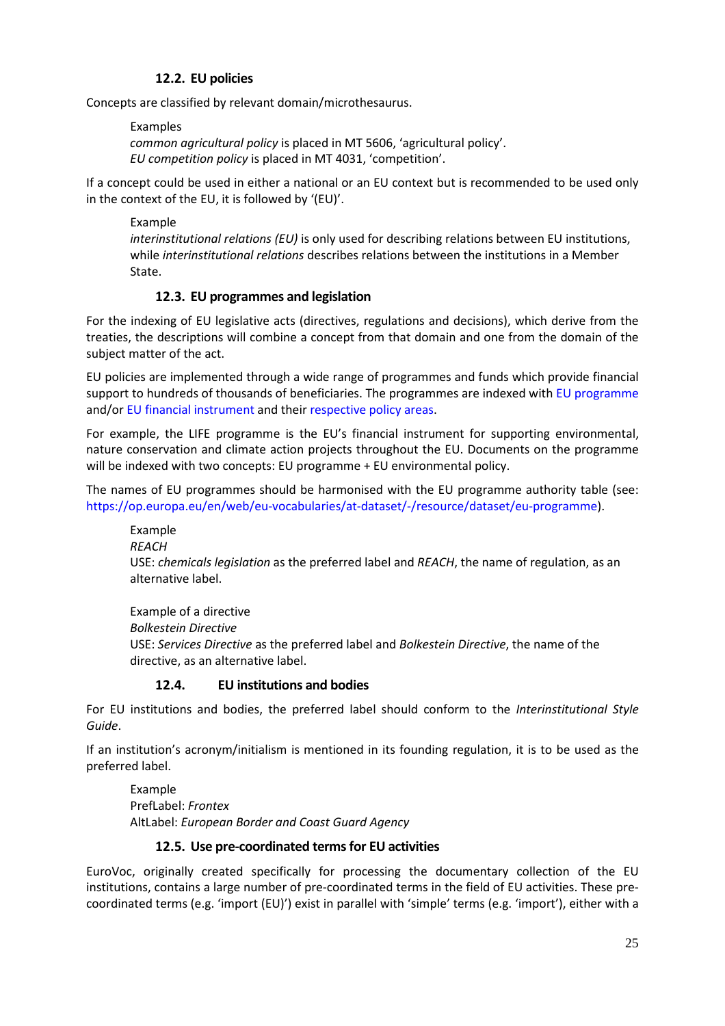## **12.2. EU policies**

<span id="page-24-0"></span>Concepts are classified by relevant domain/microthesaurus.

Examples

*common agricultural policy* is placed in MT 5606, 'agricultural policy'. *EU competition policy* is placed in MT 4031, 'competition'.

If a concept could be used in either a national or an EU context but is recommended to be used only in the context of the EU, it is followed by '(EU)'.

Example *interinstitutional relations (EU)* is only used for describing relations between EU institutions, while *interinstitutional relations* describes relations between the institutions in a Member State.

## **12.3. EU programmes and legislation**

<span id="page-24-1"></span>For the indexing of EU legislative acts (directives, regulations and decisions), which derive from the treaties, the descriptions will combine a concept from that domain and one from the domain of the subject matter of the act.

EU policies are implemented through a wide range of programmes and funds which provide financial support to hundreds of thousands of beneficiaries. The programmes are indexed with [EU programme](https://op.europa.eu/en/web/eu-vocabularies/th-concept/-/resource/eurovoc/5315?uri=http://eurovoc.europa.eu/5315) and/or [EU financial instrument](https://publications.europa.eu/en/web/eu-vocabularies/th-concept/-/resource/eurovoc/1460) and thei[r respective policy areas.](https://ec.europa.eu/info/about-european-commission/eu-budget/spending/topic/eu-funding-programmes-2014-2020_en)

For example, the LIFE programme is the EU's financial instrument for supporting environmental, nature conservation and climate action projects throughout the EU. Documents on the programme will be indexed with two concepts: EU programme + EU environmental policy.

The names of EU programmes should be harmonised with the EU programme authority table (see: [https://op.europa.eu/en/web/eu-vocabularies/at-dataset/-/resource/dataset/eu-programme\)](https://op.europa.eu/en/web/eu-vocabularies/at-dataset/-/resource/dataset/eu-programme).

Example *REACH* USE: *chemicals legislation* as the preferred label and *REACH*, the name of regulation, as an alternative label.

Example of a directive *Bolkestein Directive* USE: *Services Directive* as the preferred label and *Bolkestein Directive*, the name of the directive, as an alternative label.

## <span id="page-24-2"></span>**12.4. EU institutions and bodies**

For EU institutions and bodies, the preferred label should conform to the *Interinstitutional Style Guide*.

If an institution's acronym/initialism is mentioned in its founding regulation, it is to be used as the preferred label.

Example PrefLabel: *Frontex* AltLabel: *European Border and Coast Guard Agency*

## **12.5. Use pre-coordinated termsfor EU activities**

<span id="page-24-3"></span>EuroVoc, originally created specifically for processing the documentary collection of the EU institutions, contains a large number of pre-coordinated terms in the field of EU activities. These precoordinated terms (e.g. 'import (EU)') exist in parallel with 'simple' terms (e.g. 'import'), either with a